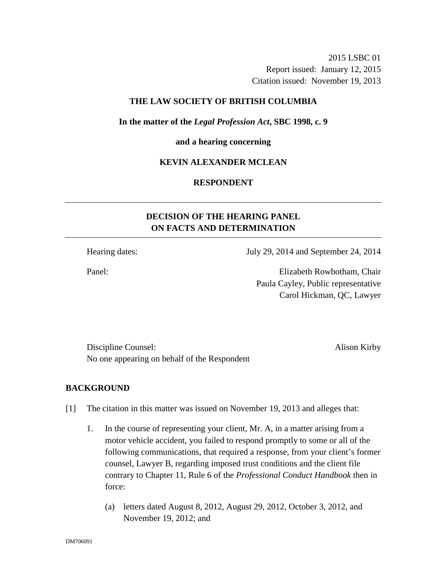2015 LSBC 01 Report issued: January 12, 2015 Citation issued: November 19, 2013

# **THE LAW SOCIETY OF BRITISH COLUMBIA**

### **In the matter of the** *Legal Profession Act***, SBC 1998, c. 9**

#### **and a hearing concerning**

# **KEVIN ALEXANDER MCLEAN**

# **RESPONDENT**

# **DECISION OF THE HEARING PANEL ON FACTS AND DETERMINATION**

Hearing dates: July 29, 2014 and September 24, 2014

Panel: Elizabeth Rowbotham, Chair Paula Cayley, Public representative Carol Hickman, QC, Lawyer

Discipline Counsel: Alison Kirby No one appearing on behalf of the Respondent

### **BACKGROUND**

- [1] The citation in this matter was issued on November 19, 2013 and alleges that:
	- 1. In the course of representing your client, Mr. A, in a matter arising from a motor vehicle accident, you failed to respond promptly to some or all of the following communications, that required a response, from your client's former counsel, Lawyer B, regarding imposed trust conditions and the client file contrary to Chapter 11, Rule 6 of the *Professional Conduct Handbook* then in force:
		- (a) letters dated August 8, 2012, August 29, 2012, October 3, 2012, and November 19, 2012; and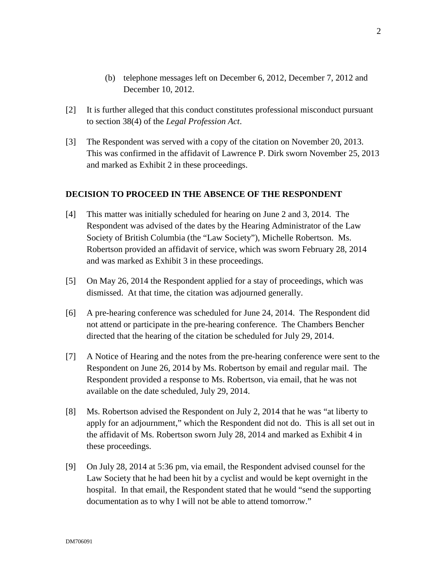- (b) telephone messages left on December 6, 2012, December 7, 2012 and December 10, 2012.
- [2] It is further alleged that this conduct constitutes professional misconduct pursuant to section 38(4) of the *Legal Profession Act*.
- [3] The Respondent was served with a copy of the citation on November 20, 2013. This was confirmed in the affidavit of Lawrence P. Dirk sworn November 25, 2013 and marked as Exhibit 2 in these proceedings.

# **DECISION TO PROCEED IN THE ABSENCE OF THE RESPONDENT**

- [4] This matter was initially scheduled for hearing on June 2 and 3, 2014. The Respondent was advised of the dates by the Hearing Administrator of the Law Society of British Columbia (the "Law Society"), Michelle Robertson. Ms. Robertson provided an affidavit of service, which was sworn February 28, 2014 and was marked as Exhibit 3 in these proceedings.
- [5] On May 26, 2014 the Respondent applied for a stay of proceedings, which was dismissed. At that time, the citation was adjourned generally.
- [6] A pre-hearing conference was scheduled for June 24, 2014. The Respondent did not attend or participate in the pre-hearing conference. The Chambers Bencher directed that the hearing of the citation be scheduled for July 29, 2014.
- [7] A Notice of Hearing and the notes from the pre-hearing conference were sent to the Respondent on June 26, 2014 by Ms. Robertson by email and regular mail. The Respondent provided a response to Ms. Robertson, via email, that he was not available on the date scheduled, July 29, 2014.
- [8] Ms. Robertson advised the Respondent on July 2, 2014 that he was "at liberty to apply for an adjournment," which the Respondent did not do. This is all set out in the affidavit of Ms. Robertson sworn July 28, 2014 and marked as Exhibit 4 in these proceedings.
- [9] On July 28, 2014 at 5:36 pm, via email, the Respondent advised counsel for the Law Society that he had been hit by a cyclist and would be kept overnight in the hospital. In that email, the Respondent stated that he would "send the supporting documentation as to why I will not be able to attend tomorrow."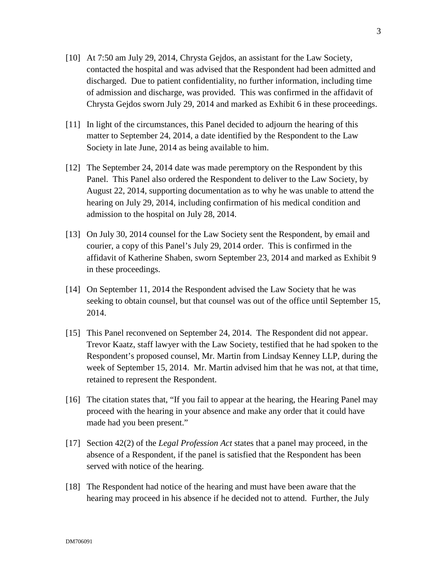- [10] At 7:50 am July 29, 2014, Chrysta Gejdos, an assistant for the Law Society, contacted the hospital and was advised that the Respondent had been admitted and discharged. Due to patient confidentiality, no further information, including time of admission and discharge, was provided. This was confirmed in the affidavit of Chrysta Gejdos sworn July 29, 2014 and marked as Exhibit 6 in these proceedings.
- [11] In light of the circumstances, this Panel decided to adjourn the hearing of this matter to September 24, 2014, a date identified by the Respondent to the Law Society in late June, 2014 as being available to him.
- [12] The September 24, 2014 date was made peremptory on the Respondent by this Panel. This Panel also ordered the Respondent to deliver to the Law Society, by August 22, 2014, supporting documentation as to why he was unable to attend the hearing on July 29, 2014, including confirmation of his medical condition and admission to the hospital on July 28, 2014.
- [13] On July 30, 2014 counsel for the Law Society sent the Respondent, by email and courier, a copy of this Panel's July 29, 2014 order. This is confirmed in the affidavit of Katherine Shaben, sworn September 23, 2014 and marked as Exhibit 9 in these proceedings.
- [14] On September 11, 2014 the Respondent advised the Law Society that he was seeking to obtain counsel, but that counsel was out of the office until September 15, 2014.
- [15] This Panel reconvened on September 24, 2014. The Respondent did not appear. Trevor Kaatz, staff lawyer with the Law Society, testified that he had spoken to the Respondent's proposed counsel, Mr. Martin from Lindsay Kenney LLP, during the week of September 15, 2014. Mr. Martin advised him that he was not, at that time, retained to represent the Respondent.
- [16] The citation states that, "If you fail to appear at the hearing, the Hearing Panel may proceed with the hearing in your absence and make any order that it could have made had you been present."
- [17] Section 42(2) of the *Legal Profession Act* states that a panel may proceed, in the absence of a Respondent, if the panel is satisfied that the Respondent has been served with notice of the hearing.
- [18] The Respondent had notice of the hearing and must have been aware that the hearing may proceed in his absence if he decided not to attend. Further, the July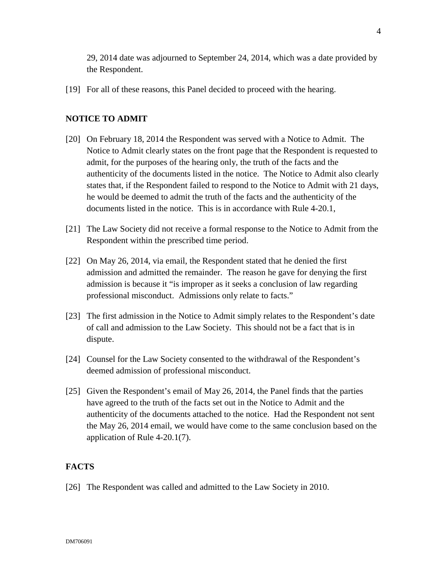29, 2014 date was adjourned to September 24, 2014, which was a date provided by the Respondent.

[19] For all of these reasons, this Panel decided to proceed with the hearing.

# **NOTICE TO ADMIT**

- [20] On February 18, 2014 the Respondent was served with a Notice to Admit. The Notice to Admit clearly states on the front page that the Respondent is requested to admit, for the purposes of the hearing only, the truth of the facts and the authenticity of the documents listed in the notice. The Notice to Admit also clearly states that, if the Respondent failed to respond to the Notice to Admit with 21 days, he would be deemed to admit the truth of the facts and the authenticity of the documents listed in the notice. This is in accordance with Rule 4-20.1,
- [21] The Law Society did not receive a formal response to the Notice to Admit from the Respondent within the prescribed time period.
- [22] On May 26, 2014, via email, the Respondent stated that he denied the first admission and admitted the remainder. The reason he gave for denying the first admission is because it "is improper as it seeks a conclusion of law regarding professional misconduct. Admissions only relate to facts."
- [23] The first admission in the Notice to Admit simply relates to the Respondent's date of call and admission to the Law Society. This should not be a fact that is in dispute.
- [24] Counsel for the Law Society consented to the withdrawal of the Respondent's deemed admission of professional misconduct.
- [25] Given the Respondent's email of May 26, 2014, the Panel finds that the parties have agreed to the truth of the facts set out in the Notice to Admit and the authenticity of the documents attached to the notice. Had the Respondent not sent the May 26, 2014 email, we would have come to the same conclusion based on the application of Rule 4-20.1(7).

# **FACTS**

[26] The Respondent was called and admitted to the Law Society in 2010.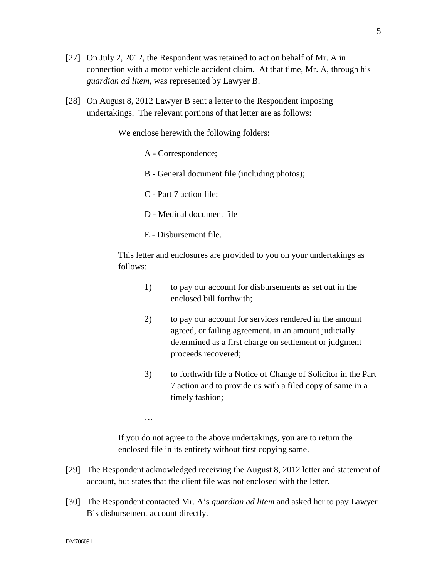- [27] On July 2, 2012, the Respondent was retained to act on behalf of Mr. A in connection with a motor vehicle accident claim. At that time, Mr. A, through his *guardian ad litem,* was represented by Lawyer B.
- [28] On August 8, 2012 Lawyer B sent a letter to the Respondent imposing undertakings. The relevant portions of that letter are as follows:

We enclose herewith the following folders:

- A Correspondence;
- B General document file (including photos);
- C Part 7 action file;
- D Medical document file
- E Disbursement file.

…

This letter and enclosures are provided to you on your undertakings as follows:

- 1) to pay our account for disbursements as set out in the enclosed bill forthwith;
- 2) to pay our account for services rendered in the amount agreed, or failing agreement, in an amount judicially determined as a first charge on settlement or judgment proceeds recovered;
- 3) to forthwith file a Notice of Change of Solicitor in the Part 7 action and to provide us with a filed copy of same in a timely fashion;

If you do not agree to the above undertakings, you are to return the enclosed file in its entirety without first copying same.

- [29] The Respondent acknowledged receiving the August 8, 2012 letter and statement of account, but states that the client file was not enclosed with the letter.
- [30] The Respondent contacted Mr. A's *guardian ad litem* and asked her to pay Lawyer B's disbursement account directly.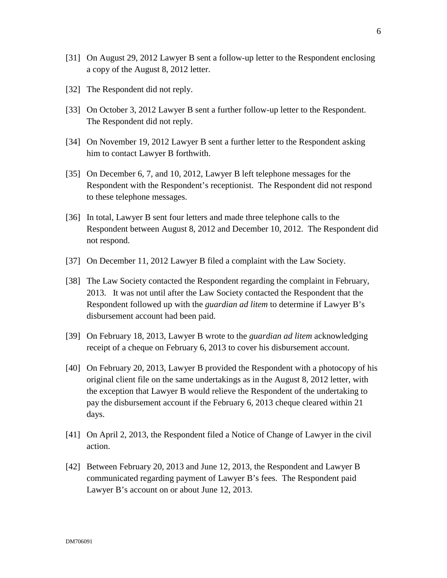- [31] On August 29, 2012 Lawyer B sent a follow-up letter to the Respondent enclosing a copy of the August 8, 2012 letter.
- [32] The Respondent did not reply.
- [33] On October 3, 2012 Lawyer B sent a further follow-up letter to the Respondent. The Respondent did not reply.
- [34] On November 19, 2012 Lawyer B sent a further letter to the Respondent asking him to contact Lawyer B forthwith.
- [35] On December 6, 7, and 10, 2012, Lawyer B left telephone messages for the Respondent with the Respondent's receptionist. The Respondent did not respond to these telephone messages.
- [36] In total, Lawyer B sent four letters and made three telephone calls to the Respondent between August 8, 2012 and December 10, 2012. The Respondent did not respond.
- [37] On December 11, 2012 Lawyer B filed a complaint with the Law Society.
- [38] The Law Society contacted the Respondent regarding the complaint in February, 2013. It was not until after the Law Society contacted the Respondent that the Respondent followed up with the *guardian ad litem* to determine if Lawyer B's disbursement account had been paid.
- [39] On February 18, 2013, Lawyer B wrote to the *guardian ad litem* acknowledging receipt of a cheque on February 6, 2013 to cover his disbursement account.
- [40] On February 20, 2013, Lawyer B provided the Respondent with a photocopy of his original client file on the same undertakings as in the August 8, 2012 letter, with the exception that Lawyer B would relieve the Respondent of the undertaking to pay the disbursement account if the February 6, 2013 cheque cleared within 21 days.
- [41] On April 2, 2013, the Respondent filed a Notice of Change of Lawyer in the civil action.
- [42] Between February 20, 2013 and June 12, 2013, the Respondent and Lawyer B communicated regarding payment of Lawyer B's fees. The Respondent paid Lawyer B's account on or about June 12, 2013.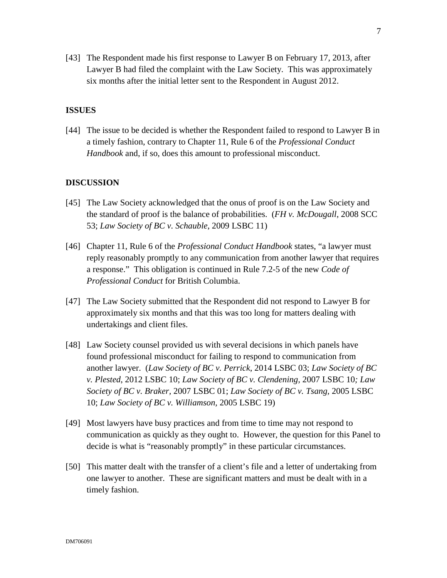[43] The Respondent made his first response to Lawyer B on February 17, 2013, after Lawyer B had filed the complaint with the Law Society. This was approximately six months after the initial letter sent to the Respondent in August 2012.

# **ISSUES**

[44] The issue to be decided is whether the Respondent failed to respond to Lawyer B in a timely fashion, contrary to Chapter 11, Rule 6 of the *Professional Conduct Handbook* and, if so, does this amount to professional misconduct.

### **DISCUSSION**

- [45] The Law Society acknowledged that the onus of proof is on the Law Society and the standard of proof is the balance of probabilities. (*FH v. McDougall*, 2008 SCC 53; *Law Society of BC v. Schauble*, 2009 LSBC 11)
- [46] Chapter 11, Rule 6 of the *Professional Conduct Handbook* states, "a lawyer must reply reasonably promptly to any communication from another lawyer that requires a response." This obligation is continued in Rule 7.2-5 of the new *Code of Professional Conduct* for British Columbia.
- [47] The Law Society submitted that the Respondent did not respond to Lawyer B for approximately six months and that this was too long for matters dealing with undertakings and client files.
- [48] Law Society counsel provided us with several decisions in which panels have found professional misconduct for failing to respond to communication from another lawyer. (*Law Society of BC v. Perrick*, 2014 LSBC 03; *Law Society of BC v. Plested*, 2012 LSBC 10; *Law Society of BC v. Clendening,* 2007 LSBC 10*; Law Society of BC v. Braker,* 2007 LSBC 01; *Law Society of BC v. Tsang,* 2005 LSBC 10; *Law Society of BC v. Williamson,* 2005 LSBC 19)
- [49] Most lawyers have busy practices and from time to time may not respond to communication as quickly as they ought to. However, the question for this Panel to decide is what is "reasonably promptly" in these particular circumstances.
- [50] This matter dealt with the transfer of a client's file and a letter of undertaking from one lawyer to another. These are significant matters and must be dealt with in a timely fashion.